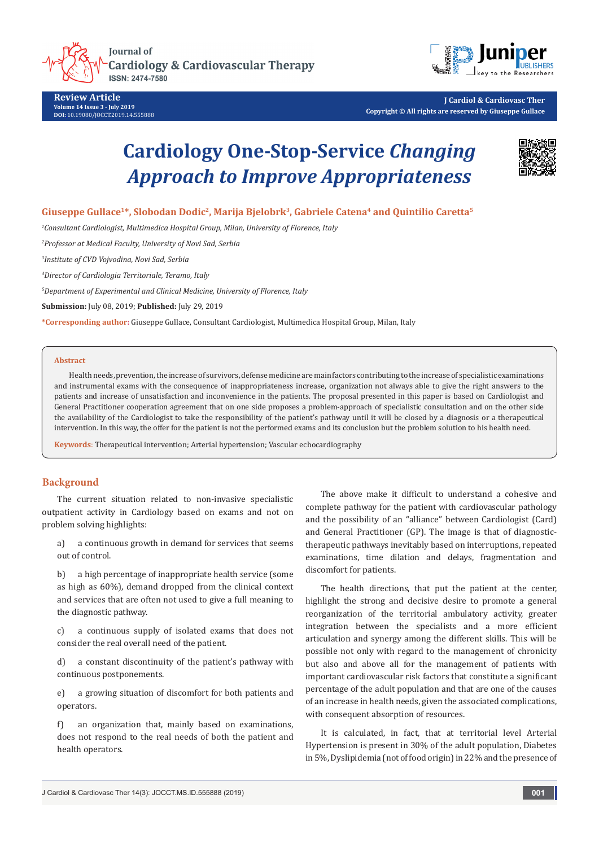



**Review Article Volume 14 Issue 3 - July 2019 DOI:** [10.19080/JOCCT.2019.14.555888](http://dx.doi.org/10.19080/JOCCT.2019.14.555888)

**J Cardiol & Cardiovasc Ther Copyright © All rights are reserved by Giuseppe Gullace**

# **Cardiology One-Stop-Service** *Changing Approach to Improve Appropriateness*



## **Giuseppe Gullace1\*, Slobodan Dodic2, Marija Bjelobrk3, Gabriele Catena4 and Quintilio Caretta5**

*1 Consultant Cardiologist, Multimedica Hospital Group, Milan, University of Florence, Italy*

*2 Professor at Medical Faculty, University of Novi Sad, Serbia* 

*3 Institute of CVD Vojvodina, Novi Sad, Serbia*

*4 Director of Cardiologia Territoriale, Teramo, Italy*

*5 Department of Experimental and Clinical Medicine, University of Florence, Italy*

**Submission:** July 08, 2019; **Published:** July 29, 2019

**\*Corresponding author:** Giuseppe Gullace, Consultant Cardiologist, Multimedica Hospital Group, Milan, Italy

#### **Abstract**

Health needs, prevention, the increase of survivors, defense medicine are main factors contributing to the increase of specialistic examinations and instrumental exams with the consequence of inappropriateness increase, organization not always able to give the right answers to the patients and increase of unsatisfaction and inconvenience in the patients. The proposal presented in this paper is based on Cardiologist and General Practitioner cooperation agreement that on one side proposes a problem-approach of specialistic consultation and on the other side the availability of the Cardiologist to take the responsibility of the patient's pathway until it will be closed by a diagnosis or a therapeutical intervention. In this way, the offer for the patient is not the performed exams and its conclusion but the problem solution to his health need.

**Keywords**: Therapeutical intervention; Arterial hypertension; Vascular echocardiography

## **Background**

The current situation related to non-invasive specialistic outpatient activity in Cardiology based on exams and not on problem solving highlights:

a) a continuous growth in demand for services that seems out of control.

b) a high percentage of inappropriate health service (some as high as 60%), demand dropped from the clinical context and services that are often not used to give a full meaning to the diagnostic pathway.

c) a continuous supply of isolated exams that does not consider the real overall need of the patient.

d) a constant discontinuity of the patient's pathway with continuous postponements.

e) a growing situation of discomfort for both patients and operators.

f) an organization that, mainly based on examinations, does not respond to the real needs of both the patient and health operators.

The above make it difficult to understand a cohesive and complete pathway for the patient with cardiovascular pathology and the possibility of an "alliance" between Cardiologist (Card) and General Practitioner (GP). The image is that of diagnostictherapeutic pathways inevitably based on interruptions, repeated examinations, time dilation and delays, fragmentation and discomfort for patients.

The health directions, that put the patient at the center, highlight the strong and decisive desire to promote a general reorganization of the territorial ambulatory activity, greater integration between the specialists and a more efficient articulation and synergy among the different skills. This will be possible not only with regard to the management of chronicity but also and above all for the management of patients with important cardiovascular risk factors that constitute a significant percentage of the adult population and that are one of the causes of an increase in health needs, given the associated complications, with consequent absorption of resources.

It is calculated, in fact, that at territorial level Arterial Hypertension is present in 30% of the adult population, Diabetes in 5%, Dyslipidemia (not of food origin) in 22% and the presence of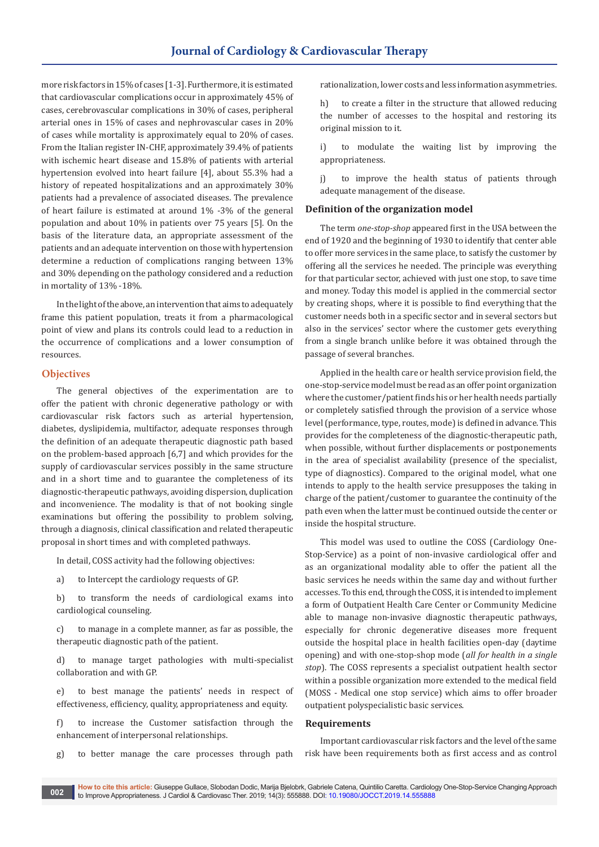more risk factors in 15% of cases [1-3]. Furthermore, it is estimated that cardiovascular complications occur in approximately 45% of cases, cerebrovascular complications in 30% of cases, peripheral arterial ones in 15% of cases and nephrovascular cases in 20% of cases while mortality is approximately equal to 20% of cases. From the Italian register IN-CHF, approximately 39.4% of patients with ischemic heart disease and 15.8% of patients with arterial hypertension evolved into heart failure [4], about 55.3% had a history of repeated hospitalizations and an approximately 30% patients had a prevalence of associated diseases. The prevalence of heart failure is estimated at around 1% -3% of the general population and about 10% in patients over 75 years [5]. On the basis of the literature data, an appropriate assessment of the patients and an adequate intervention on those with hypertension determine a reduction of complications ranging between 13% and 30% depending on the pathology considered and a reduction in mortality of 13% -18%.

In the light of the above, an intervention that aims to adequately frame this patient population, treats it from a pharmacological point of view and plans its controls could lead to a reduction in the occurrence of complications and a lower consumption of resources.

#### **Objectives**

The general objectives of the experimentation are to offer the patient with chronic degenerative pathology or with cardiovascular risk factors such as arterial hypertension, diabetes, dyslipidemia, multifactor, adequate responses through the definition of an adequate therapeutic diagnostic path based on the problem-based approach [6,7] and which provides for the supply of cardiovascular services possibly in the same structure and in a short time and to guarantee the completeness of its diagnostic-therapeutic pathways, avoiding dispersion, duplication and inconvenience. The modality is that of not booking single examinations but offering the possibility to problem solving, through a diagnosis, clinical classification and related therapeutic proposal in short times and with completed pathways.

In detail, COSS activity had the following objectives:

a) to Intercept the cardiology requests of GP.

b) to transform the needs of cardiological exams into cardiological counseling.

c) to manage in a complete manner, as far as possible, the therapeutic diagnostic path of the patient.

d) to manage target pathologies with multi-specialist collaboration and with GP.

e) to best manage the patients' needs in respect of effectiveness, efficiency, quality, appropriateness and equity.

f) to increase the Customer satisfaction through the enhancement of interpersonal relationships.

g) to better manage the care processes through path

rationalization, lower costs and less information asymmetries.

h) to create a filter in the structure that allowed reducing the number of accesses to the hospital and restoring its original mission to it.

i) to modulate the waiting list by improving the appropriateness.

j) to improve the health status of patients through adequate management of the disease.

#### **Definition of the organization model**

The term *one-stop-shop* appeared first in the USA between the end of 1920 and the beginning of 1930 to identify that center able to offer more services in the same place, to satisfy the customer by offering all the services he needed. The principle was everything for that particular sector, achieved with just one stop, to save time and money. Today this model is applied in the commercial sector by creating shops, where it is possible to find everything that the customer needs both in a specific sector and in several sectors but also in the services' sector where the customer gets everything from a single branch unlike before it was obtained through the passage of several branches.

Applied in the health care or health service provision field, the one-stop-service model must be read as an offer point organization where the customer/patient finds his or her health needs partially or completely satisfied through the provision of a service whose level (performance, type, routes, mode) is defined in advance. This provides for the completeness of the diagnostic-therapeutic path, when possible, without further displacements or postponements in the area of specialist availability (presence of the specialist, type of diagnostics). Compared to the original model, what one intends to apply to the health service presupposes the taking in charge of the patient/customer to guarantee the continuity of the path even when the latter must be continued outside the center or inside the hospital structure.

This model was used to outline the COSS (Cardiology One-Stop-Service) as a point of non-invasive cardiological offer and as an organizational modality able to offer the patient all the basic services he needs within the same day and without further accesses. To this end, through the COSS, it is intended to implement a form of Outpatient Health Care Center or Community Medicine able to manage non-invasive diagnostic therapeutic pathways, especially for chronic degenerative diseases more frequent outside the hospital place in health facilities open-day (daytime opening) and with one-stop-shop mode (*all for health in a single stop*). The COSS represents a specialist outpatient health sector within a possible organization more extended to the medical field (MOSS - Medical one stop service) which aims to offer broader outpatient polyspecialistic basic services.

#### **Requirements**

Important cardiovascular risk factors and the level of the same risk have been requirements both as first access and as control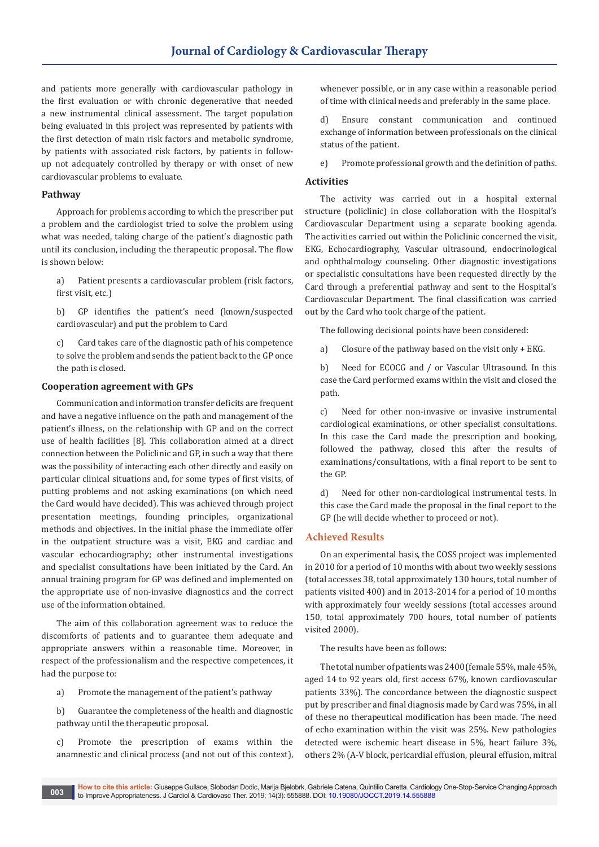and patients more generally with cardiovascular pathology in the first evaluation or with chronic degenerative that needed a new instrumental clinical assessment. The target population being evaluated in this project was represented by patients with the first detection of main risk factors and metabolic syndrome, by patients with associated risk factors, by patients in followup not adequately controlled by therapy or with onset of new cardiovascular problems to evaluate.

#### **Pathway**

Approach for problems according to which the prescriber put a problem and the cardiologist tried to solve the problem using what was needed, taking charge of the patient's diagnostic path until its conclusion, including the therapeutic proposal. The flow is shown below:

a) Patient presents a cardiovascular problem (risk factors, first visit, etc.)

b) GP identifies the patient's need (known/suspected cardiovascular) and put the problem to Card

c) Card takes care of the diagnostic path of his competence to solve the problem and sends the patient back to the GP once the path is closed.

#### **Cooperation agreement with GPs**

Communication and information transfer deficits are frequent and have a negative influence on the path and management of the patient's illness, on the relationship with GP and on the correct use of health facilities [8]. This collaboration aimed at a direct connection between the Policlinic and GP, in such a way that there was the possibility of interacting each other directly and easily on particular clinical situations and, for some types of first visits, of putting problems and not asking examinations (on which need the Card would have decided). This was achieved through project presentation meetings, founding principles, organizational methods and objectives. In the initial phase the immediate offer in the outpatient structure was a visit, EKG and cardiac and vascular echocardiography; other instrumental investigations and specialist consultations have been initiated by the Card. An annual training program for GP was defined and implemented on the appropriate use of non-invasive diagnostics and the correct use of the information obtained.

The aim of this collaboration agreement was to reduce the discomforts of patients and to guarantee them adequate and appropriate answers within a reasonable time. Moreover, in respect of the professionalism and the respective competences, it had the purpose to:

a) Promote the management of the patient's pathway

b) Guarantee the completeness of the health and diagnostic pathway until the therapeutic proposal.

c) Promote the prescription of exams within the anamnestic and clinical process (and not out of this context),

whenever possible, or in any case within a reasonable period of time with clinical needs and preferably in the same place.

d) Ensure constant communication and continued exchange of information between professionals on the clinical status of the patient.

e) Promote professional growth and the definition of paths.

## **Activities**

The activity was carried out in a hospital external structure (policlinic) in close collaboration with the Hospital's Cardiovascular Department using a separate booking agenda. The activities carried out within the Policlinic concerned the visit, EKG, Echocardiography, Vascular ultrasound, endocrinological and ophthalmology counseling. Other diagnostic investigations or specialistic consultations have been requested directly by the Card through a preferential pathway and sent to the Hospital's Cardiovascular Department. The final classification was carried out by the Card who took charge of the patient.

The following decisional points have been considered:

a) Closure of the pathway based on the visit only + EKG.

b) Need for ECOCG and / or Vascular Ultrasound. In this case the Card performed exams within the visit and closed the path.

c) Need for other non-invasive or invasive instrumental cardiological examinations, or other specialist consultations. In this case the Card made the prescription and booking, followed the pathway, closed this after the results of examinations/consultations, with a final report to be sent to the GP.

d) Need for other non-cardiological instrumental tests. In this case the Card made the proposal in the final report to the GP (he will decide whether to proceed or not).

## **Achieved Results**

On an experimental basis, the COSS project was implemented in 2010 for a period of 10 months with about two weekly sessions (total accesses 38, total approximately 130 hours, total number of patients visited 400) and in 2013-2014 for a period of 10 months with approximately four weekly sessions (total accesses around 150, total approximately 700 hours, total number of patients visited 2000).

The results have been as follows:

The total number of patients was 2400 (female 55%, male 45%, aged 14 to 92 years old, first access 67%, known cardiovascular patients 33%). The concordance between the diagnostic suspect put by prescriber and final diagnosis made by Card was 75%, in all of these no therapeutical modification has been made. The need of echo examination within the visit was 25%. New pathologies detected were ischemic heart disease in 5%, heart failure 3%, others 2% (A-V block, pericardial effusion, pleural effusion, mitral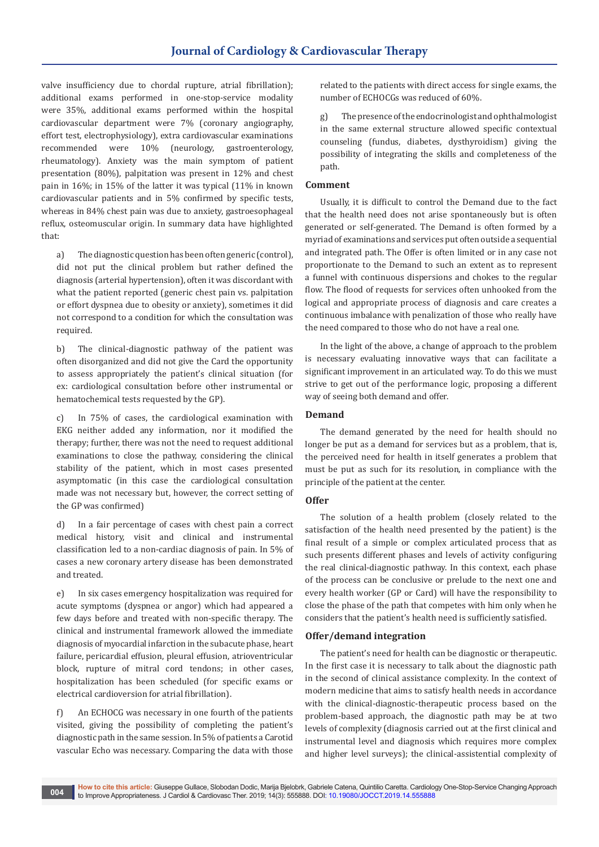valve insufficiency due to chordal rupture, atrial fibrillation); additional exams performed in one-stop-service modality were 35%, additional exams performed within the hospital cardiovascular department were 7% (coronary angiography, effort test, electrophysiology), extra cardiovascular examinations<br>recommended were 10% (neurology, gastroenterology, (neurology, gastroenterology, rheumatology). Anxiety was the main symptom of patient presentation (80%), palpitation was present in 12% and chest pain in 16%; in 15% of the latter it was typical (11% in known cardiovascular patients and in 5% confirmed by specific tests, whereas in 84% chest pain was due to anxiety, gastroesophageal reflux, osteomuscular origin. In summary data have highlighted that:

a) The diagnostic question has been often generic (control), did not put the clinical problem but rather defined the diagnosis (arterial hypertension), often it was discordant with what the patient reported (generic chest pain vs. palpitation or effort dyspnea due to obesity or anxiety), sometimes it did not correspond to a condition for which the consultation was required.

b) The clinical-diagnostic pathway of the patient was often disorganized and did not give the Card the opportunity to assess appropriately the patient's clinical situation (for ex: cardiological consultation before other instrumental or hematochemical tests requested by the GP).

c) In 75% of cases, the cardiological examination with EKG neither added any information, nor it modified the therapy; further, there was not the need to request additional examinations to close the pathway, considering the clinical stability of the patient, which in most cases presented asymptomatic (in this case the cardiological consultation made was not necessary but, however, the correct setting of the GP was confirmed)

d) In a fair percentage of cases with chest pain a correct medical history, visit and clinical and instrumental classification led to a non-cardiac diagnosis of pain. In 5% of cases a new coronary artery disease has been demonstrated and treated.

e) In six cases emergency hospitalization was required for acute symptoms (dyspnea or angor) which had appeared a few days before and treated with non-specific therapy. The clinical and instrumental framework allowed the immediate diagnosis of myocardial infarction in the subacute phase, heart failure, pericardial effusion, pleural effusion, atrioventricular block, rupture of mitral cord tendons; in other cases, hospitalization has been scheduled (for specific exams or electrical cardioversion for atrial fibrillation).

f) An ECHOCG was necessary in one fourth of the patients visited, giving the possibility of completing the patient's diagnostic path in the same session. In 5% of patients a Carotid vascular Echo was necessary. Comparing the data with those

related to the patients with direct access for single exams, the number of ECHOCGs was reduced of 60%.

g) The presence of the endocrinologist and ophthalmologist in the same external structure allowed specific contextual counseling (fundus, diabetes, dysthyroidism) giving the possibility of integrating the skills and completeness of the path.

#### **Comment**

Usually, it is difficult to control the Demand due to the fact that the health need does not arise spontaneously but is often generated or self-generated. The Demand is often formed by a myriad of examinations and services put often outside a sequential and integrated path. The Offer is often limited or in any case not proportionate to the Demand to such an extent as to represent a funnel with continuous dispersions and chokes to the regular flow. The flood of requests for services often unhooked from the logical and appropriate process of diagnosis and care creates a continuous imbalance with penalization of those who really have the need compared to those who do not have a real one.

In the light of the above, a change of approach to the problem is necessary evaluating innovative ways that can facilitate a significant improvement in an articulated way. To do this we must strive to get out of the performance logic, proposing a different way of seeing both demand and offer.

## **Demand**

The demand generated by the need for health should no longer be put as a demand for services but as a problem, that is, the perceived need for health in itself generates a problem that must be put as such for its resolution, in compliance with the principle of the patient at the center.

#### **Offer**

The solution of a health problem (closely related to the satisfaction of the health need presented by the patient) is the final result of a simple or complex articulated process that as such presents different phases and levels of activity configuring the real clinical-diagnostic pathway. In this context, each phase of the process can be conclusive or prelude to the next one and every health worker (GP or Card) will have the responsibility to close the phase of the path that competes with him only when he considers that the patient's health need is sufficiently satisfied.

#### **Offer/demand integration**

The patient's need for health can be diagnostic or therapeutic. In the first case it is necessary to talk about the diagnostic path in the second of clinical assistance complexity. In the context of modern medicine that aims to satisfy health needs in accordance with the clinical-diagnostic-therapeutic process based on the problem-based approach, the diagnostic path may be at two levels of complexity (diagnosis carried out at the first clinical and instrumental level and diagnosis which requires more complex and higher level surveys); the clinical-assistential complexity of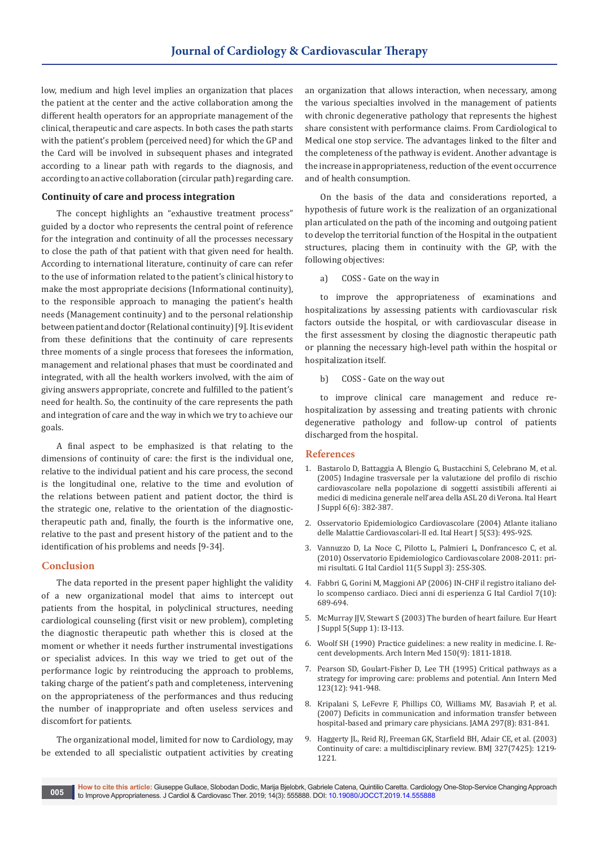low, medium and high level implies an organization that places the patient at the center and the active collaboration among the different health operators for an appropriate management of the clinical, therapeutic and care aspects. In both cases the path starts with the patient's problem (perceived need) for which the GP and the Card will be involved in subsequent phases and integrated according to a linear path with regards to the diagnosis, and according to an active collaboration (circular path) regarding care.

#### **Continuity of care and process integration**

The concept highlights an "exhaustive treatment process" guided by a doctor who represents the central point of reference for the integration and continuity of all the processes necessary to close the path of that patient with that given need for health. According to international literature, continuity of care can refer to the use of information related to the patient's clinical history to make the most appropriate decisions (Informational continuity), to the responsible approach to managing the patient's health needs (Management continuity) and to the personal relationship between patient and doctor (Relational continuity) [9]. It is evident from these definitions that the continuity of care represents three moments of a single process that foresees the information, management and relational phases that must be coordinated and integrated, with all the health workers involved, with the aim of giving answers appropriate, concrete and fulfilled to the patient's need for health. So, the continuity of the care represents the path and integration of care and the way in which we try to achieve our goals.

A final aspect to be emphasized is that relating to the dimensions of continuity of care: the first is the individual one, relative to the individual patient and his care process, the second is the longitudinal one, relative to the time and evolution of the relations between patient and patient doctor, the third is the strategic one, relative to the orientation of the diagnostictherapeutic path and, finally, the fourth is the informative one, relative to the past and present history of the patient and to the identification of his problems and needs [9-34].

#### **Conclusion**

The data reported in the present paper highlight the validity of a new organizational model that aims to intercept out patients from the hospital, in polyclinical structures, needing cardiological counseling (first visit or new problem), completing the diagnostic therapeutic path whether this is closed at the moment or whether it needs further instrumental investigations or specialist advices. In this way we tried to get out of the performance logic by reintroducing the approach to problems, taking charge of the patient's path and completeness, intervening on the appropriateness of the performances and thus reducing the number of inappropriate and often useless services and discomfort for patients.

The organizational model, limited for now to Cardiology, may be extended to all specialistic outpatient activities by creating an organization that allows interaction, when necessary, among the various specialties involved in the management of patients with chronic degenerative pathology that represents the highest share consistent with performance claims. From Cardiological to Medical one stop service. The advantages linked to the filter and the completeness of the pathway is evident. Another advantage is the increase in appropriateness, reduction of the event occurrence and of health consumption.

On the basis of the data and considerations reported, a hypothesis of future work is the realization of an organizational plan articulated on the path of the incoming and outgoing patient to develop the territorial function of the Hospital in the outpatient structures, placing them in continuity with the GP, with the following objectives:

a) COSS - Gate on the way in

to improve the appropriateness of examinations and hospitalizations by assessing patients with cardiovascular risk factors outside the hospital, or with cardiovascular disease in the first assessment by closing the diagnostic therapeutic path or planning the necessary high-level path within the hospital or hospitalization itself.

b) COSS - Gate on the way out

to improve clinical care management and reduce rehospitalization by assessing and treating patients with chronic degenerative pathology and follow-up control of patients discharged from the hospital.

#### **References**

- 1. [Bastarolo D, Battaggia A, Blengio G, Bustacchini S, Celebrano M, et al.](http://www.giornaledicardiologia.it/r.php?v=720&a=8196&l=11232&f=allegati/00720_2005_06/fulltext/06-05_08%20382-387.pdf)  [\(2005\) Indagine trasversale per la valutazione del profilo di rischio](http://www.giornaledicardiologia.it/r.php?v=720&a=8196&l=11232&f=allegati/00720_2005_06/fulltext/06-05_08%20382-387.pdf)  [cardiovascolare nella popolazione di soggetti assistibili afferenti ai](http://www.giornaledicardiologia.it/r.php?v=720&a=8196&l=11232&f=allegati/00720_2005_06/fulltext/06-05_08%20382-387.pdf)  [medici di medicina generale nell'area della ASL 20 di Verona. Ital Heart](http://www.giornaledicardiologia.it/r.php?v=720&a=8196&l=11232&f=allegati/00720_2005_06/fulltext/06-05_08%20382-387.pdf)  [J Suppl 6\(6\): 382-387.](http://www.giornaledicardiologia.it/r.php?v=720&a=8196&l=11232&f=allegati/00720_2005_06/fulltext/06-05_08%20382-387.pdf)
- 2. Osservatorio Epidemiologico Cardiovascolare (2004) Atlante italiano delle Malattie Cardiovascolari-II ed. Ital Heart J 5(S3): 49S-92S.
- 3. [Vannuzzo D, La Noce C, Pilotto L, Palmieri L, Donfrancesco C, et al.](http://www.giornaledicardiologia.it/r.php?v=576&a=6811&l=9453&f=allegati/00576_2010_05/fulltext/05_S3-5_2010_025-030.pdf)  [\(2010\) Osservatorio Epidemiologico Cardiovascolare 2008-2011: pri](http://www.giornaledicardiologia.it/r.php?v=576&a=6811&l=9453&f=allegati/00576_2010_05/fulltext/05_S3-5_2010_025-030.pdf)[mi risultati. G Ital Cardiol 11\(5 Suppl 3\): 25S-30S.](http://www.giornaledicardiologia.it/r.php?v=576&a=6811&l=9453&f=allegati/00576_2010_05/fulltext/05_S3-5_2010_025-030.pdf)
- 4. [Fabbri G, Gorini M, Maggioni AP \(2006\) IN-CHF il registro italiano del](http://www.giornaledicardiologia.it/allegati/00702_2006_10/fulltext/10-06_06%20689-694.pdf)[lo scompenso cardiaco. Dieci anni di esperienza G Ital Cardiol 7\(10\):](http://www.giornaledicardiologia.it/allegati/00702_2006_10/fulltext/10-06_06%20689-694.pdf)  [689-694.](http://www.giornaledicardiologia.it/allegati/00702_2006_10/fulltext/10-06_06%20689-694.pdf)
- 5. McMurray JJV, Stewart S (2003) The burden of heart failure. Eur Heart J Suppl 5(Supp 1): I3-I13.
- 6. [Woolf SH \(1990\) Practice guidelines: a new reality in medicine. I. Re](https://www.ncbi.nlm.nih.gov/pubmed/2203320)[cent developments. Arch Intern Med 150\(9\): 1811-1818.](https://www.ncbi.nlm.nih.gov/pubmed/2203320)
- 7. [Pearson SD, Goulart-Fisher D, Lee TH \(1995\) Critical pathways as a](https://www.ncbi.nlm.nih.gov/pubmed/7486490)  [strategy for improving care: problems and potential. Ann Intern Med](https://www.ncbi.nlm.nih.gov/pubmed/7486490)  [123\(12\): 941-948.](https://www.ncbi.nlm.nih.gov/pubmed/7486490)
- 8. [Kripalani S, LeFevre F, Phillips CO, Williams MV, Basaviah P, et al.](https://www.ncbi.nlm.nih.gov/pubmed/17327525)  [\(2007\) Deficits in communication and information transfer between](https://www.ncbi.nlm.nih.gov/pubmed/17327525)  [hospital-based and primary care physicians. JAMA 297\(8\): 831-841.](https://www.ncbi.nlm.nih.gov/pubmed/17327525)
- 9. [Haggerty JL, Reid RJ, Freeman GK, Starfield BH, Adair CE, et al. \(2003\)](https://www.ncbi.nlm.nih.gov/pubmed/14630762)  [Continuity of care: a multidisciplinary review. BMJ 327\(7425\): 1219-](https://www.ncbi.nlm.nih.gov/pubmed/14630762) [1221.](https://www.ncbi.nlm.nih.gov/pubmed/14630762)